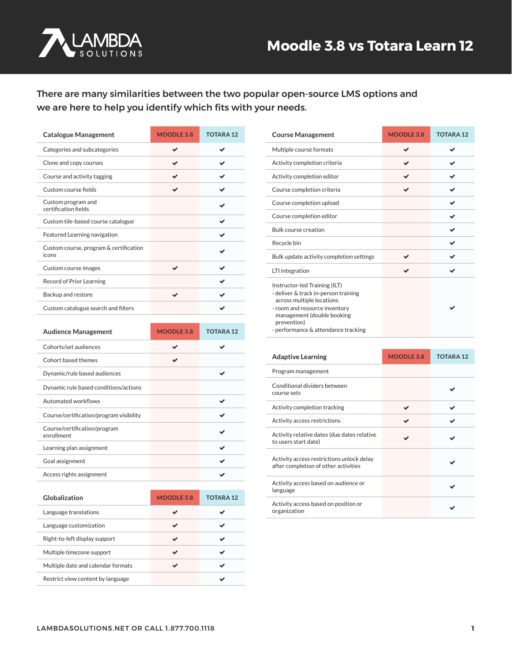

#### There are many similarities between the two popular open-source LMS options and we are here to help you identify which fits with your needs.

| <b>Catalogue Management</b>                     | MOODLE 3.8 | <b>TOTARA12</b> |
|-------------------------------------------------|------------|-----------------|
| Categories and subcategories                    |            |                 |
| Clone and copy courses                          |            |                 |
| Course and activity tagging                     |            |                 |
| Custom course fields                            |            |                 |
| Custom program and<br>certification fields      |            |                 |
| Custom tile-based course catalogue              |            |                 |
| Featured Learning navigation                    |            |                 |
| Custom course, program & certification<br>icons |            |                 |
| Custom course images                            |            |                 |
| Record of Prior Learning                        |            |                 |
| Backup and restore                              |            |                 |
| Custom catalogue search and filters             |            |                 |

| <b>Audience Management</b>                 | MOODLE 3.8 | TOTARA 12 |
|--------------------------------------------|------------|-----------|
| Cohorts/set audiences                      |            |           |
| Cohort based themes                        |            |           |
| Dynamic/rule based audiences               |            |           |
| Dynamic rule based conditions/actions      |            |           |
| Automated workflows                        |            |           |
| Course/certification/program visibility    |            |           |
| Course/certification/program<br>enrollment |            |           |
| Learning plan assignment                   |            |           |
| Goal assignment                            |            |           |
| Access rights assignment                   |            |           |

| Globalization                      | MOODLE 3.8 | TOTARA <sub>12</sub> |
|------------------------------------|------------|----------------------|
| Language translations              |            |                      |
| Language customization             |            |                      |
| Right-to-left display support      |            |                      |
| Multiple timezone support          |            |                      |
| Multiple date and calendar formats |            |                      |
| Restrict view content by language  |            |                      |

| <b>Course Management</b>                                                                                                                                                                                                | MOODLE 3.8 | <b>TOTARA12</b> |
|-------------------------------------------------------------------------------------------------------------------------------------------------------------------------------------------------------------------------|------------|-----------------|
| Multiple course formats                                                                                                                                                                                                 |            |                 |
| Activity completion criteria                                                                                                                                                                                            |            |                 |
| Activity completion editor                                                                                                                                                                                              |            |                 |
| Course completion criteria                                                                                                                                                                                              |            |                 |
| Course completion upload                                                                                                                                                                                                |            |                 |
| Course completion editor                                                                                                                                                                                                |            |                 |
| <b>Bulk course creation</b>                                                                                                                                                                                             |            |                 |
| Recycle bin                                                                                                                                                                                                             |            |                 |
| Bulk update activity completion settings                                                                                                                                                                                |            |                 |
| LTI integration                                                                                                                                                                                                         |            |                 |
| Instructor-led Training (ILT)<br>- deliver & track in-person training<br>across multiple locations<br>- room and resource inventory<br>management (double booking<br>prevention)<br>- performance & attendance tracking |            |                 |

| <b>Adaptive Learning</b>                                                          | MOODLE 3.8 | <b>TOTARA12</b> |
|-----------------------------------------------------------------------------------|------------|-----------------|
| Program management                                                                |            |                 |
| Conditional dividers between<br>course sets                                       |            |                 |
| Activity completion tracking                                                      |            |                 |
| Activity access restrictions                                                      |            |                 |
| Activity relative dates (due dates relative<br>to users start date)               |            |                 |
| Activity access restrictions unlock delay<br>after completion of other activities |            |                 |
| Activity access based on audience or<br>language                                  |            |                 |
| Activity access based on position or<br>organization                              |            |                 |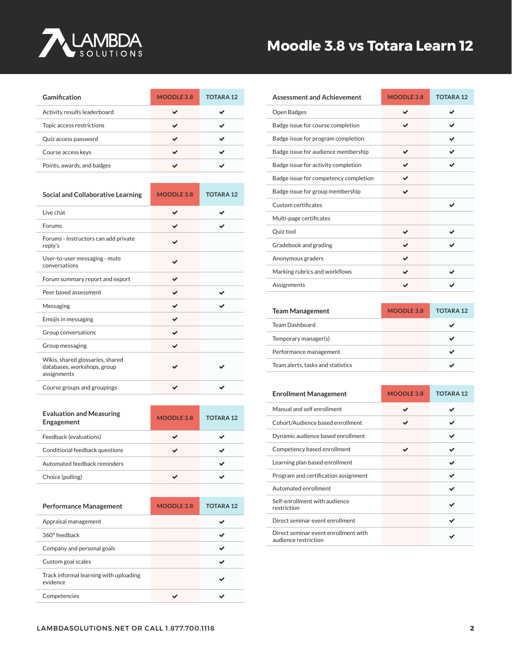

# **Moodle 3.8 vs Totara Learn 12**

| Gamification                 | MOODLE 3.8 | <b>TOTARA12</b> |
|------------------------------|------------|-----------------|
| Activity results leaderboard |            |                 |
| Topic access restrictions    |            |                 |
| Quiz access password         |            |                 |
| Course access keys           |            |                 |
| Points, awards, and badges   |            |                 |

| <b>Social and Collaborative Learning</b>                                       | MOODLE 3.8 | <b>TOTARA12</b> |
|--------------------------------------------------------------------------------|------------|-----------------|
| Live chat                                                                      |            |                 |
| Forums                                                                         |            |                 |
| Forums - Instructors can add private<br>reply's                                |            |                 |
| User-to-user messaging - mute<br>conversations                                 |            |                 |
| Forum summary report and export                                                |            |                 |
| Peer based assessment                                                          |            |                 |
| Messaging                                                                      |            |                 |
| Emojis in messaging                                                            |            |                 |
| Group conversations                                                            |            |                 |
| Group messaging                                                                |            |                 |
| Wikis, shared glossaries, shared<br>databases, workshops, group<br>assignments |            |                 |
| Course groups and groupings                                                    |            |                 |

| <b>Evaluation and Measuring</b><br>Engagement      | MOODLE 3.8        | <b>TOTARA12</b> |
|----------------------------------------------------|-------------------|-----------------|
| Feedback (evaluations)                             |                   |                 |
| Conditional feedback questions                     |                   |                 |
| Automated feedback reminders                       |                   |                 |
| Choice (polling)                                   |                   |                 |
|                                                    |                   |                 |
| <b>Performance Management</b>                      | <b>MOODLE 3.8</b> | <b>TOTARA12</b> |
| Appraisal management                               |                   |                 |
| 360° feedback                                      |                   |                 |
| Company and personal goals                         |                   |                 |
|                                                    |                   |                 |
| Custom goal scales                                 |                   |                 |
| Track informal learning with uploading<br>evidence |                   |                 |

| <b>Assessment and Achievement</b>     | MOODLE 3.8 | <b>TOTARA12</b> |
|---------------------------------------|------------|-----------------|
| Open Badges                           |            | J               |
| Badge issue for course completion     |            |                 |
| Badge issue for program completion    |            |                 |
| Badge issue for audience membership   |            |                 |
| Badge issue for activity completion   |            |                 |
| Badge issue for competency completion |            |                 |
| Badge issue for group membership      | ✔          |                 |
| Custom certificates                   |            |                 |
| Multi-page certificates               |            |                 |
| Quiz tool                             |            |                 |
| Gradebook and grading                 |            |                 |
| Anonymous graders                     |            |                 |
| Marking rubrics and workflows         |            |                 |
| Assignments                           |            |                 |

| <b>Team Management</b>            | MOODLE 3.8 | <b>TOTARA12</b> |
|-----------------------------------|------------|-----------------|
| <b>Team Dashboard</b>             |            |                 |
| Temporary manager(s)              |            |                 |
| Performance management            |            |                 |
| Team alerts, tasks and statistics |            |                 |

| <b>Enrollment Management</b>                                 | MOODLE 3.8 | <b>TOTARA12</b> |
|--------------------------------------------------------------|------------|-----------------|
| Manual and self enrollment                                   |            |                 |
| Cohort/Audience based enrollment                             |            |                 |
| Dynamic audience based enrollment                            |            |                 |
| Competency based enrollment                                  |            |                 |
| Learning plan based enrollment                               |            | ✔               |
| Program and certification assignment                         |            | ✔               |
| Automated enrollment                                         |            |                 |
| Self-enrollment with audience<br>restriction                 |            |                 |
| Direct seminar event enrollment                              |            |                 |
| Direct seminar event enrollment with<br>audience restriction |            |                 |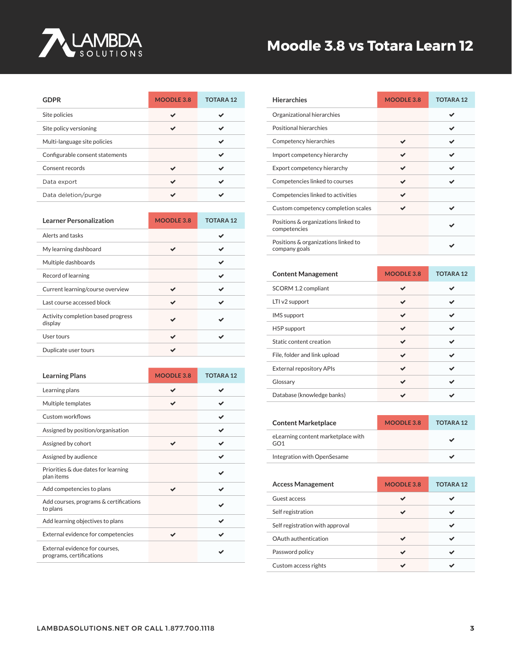

# **[Moodle 3.8 vs Totara Learn 12](https://www.lambdasolutions.net/)**

| <b>GDPR</b>                     | MOODLE 3.8 | <b>TOTARA12</b> |
|---------------------------------|------------|-----------------|
| Site policies                   |            |                 |
| Site policy versioning          |            |                 |
| Multi-language site policies    |            |                 |
| Configurable consent statements |            |                 |
| Consent records                 |            |                 |
| Data export                     |            |                 |
| Data deletion/purge             |            |                 |

| <b>Learner Personalization</b>                | MOODLE 3.8 | <b>TOTARA12</b> |
|-----------------------------------------------|------------|-----------------|
| Alerts and tasks                              |            |                 |
| My learning dashboard                         |            |                 |
| Multiple dashboards                           |            |                 |
| Record of learning                            |            |                 |
| Current learning/course overview              |            |                 |
| Last course accessed block                    |            |                 |
| Activity completion based progress<br>display |            |                 |
| User tours                                    |            |                 |
| Duplicate user tours                          |            |                 |

| <b>Learning Plans</b>                                      | MOODLE 3.8 | <b>TOTARA12</b> |
|------------------------------------------------------------|------------|-----------------|
| Learning plans                                             |            |                 |
| Multiple templates                                         |            |                 |
| Custom workflows                                           |            |                 |
| Assigned by position/organisation                          |            |                 |
| Assigned by cohort                                         |            |                 |
| Assigned by audience                                       |            |                 |
| Priorities & due dates for learning<br>plan items          |            |                 |
| Add competencies to plans                                  |            |                 |
| Add courses, programs & certifications<br>to plans         |            |                 |
| Add learning objectives to plans                           |            |                 |
| External evidence for competencies                         |            |                 |
| External evidence for courses,<br>programs, certifications |            |                 |

| <b>Hierarchies</b>                                   | MOODLE 3.8 | <b>TOTARA12</b> |
|------------------------------------------------------|------------|-----------------|
| Organizational hierarchies                           |            |                 |
| Positional hierarchies                               |            |                 |
| Competency hierarchies                               |            |                 |
| Import competency hierarchy                          |            |                 |
| Export competency hierarchy                          |            |                 |
| Competencies linked to courses                       |            |                 |
| Competencies linked to activities                    |            |                 |
| Custom competency completion scales                  |            |                 |
| Positions & organizations linked to<br>competencies  |            |                 |
| Positions & organizations linked to<br>company goals |            |                 |

| <b>Content Management</b>       | MOODLE 3.8 | <b>TOTARA12</b> |
|---------------------------------|------------|-----------------|
| SCORM 1.2 compliant             |            |                 |
| LTI v2 support                  |            |                 |
| <b>IMS</b> support              |            |                 |
| H <sub>5</sub> P support        |            |                 |
| Static content creation         |            |                 |
| File, folder and link upload    |            |                 |
| <b>External repository APIs</b> |            |                 |
| Glossary                        |            |                 |
| Database (knowledge banks)      |            |                 |

| <b>Content Marketplace</b>                | MOODLE 3.8 | <b>TOTARA 12</b> |
|-------------------------------------------|------------|------------------|
| eLearning content marketplace with<br>GO1 |            |                  |
| Integration with OpenSesame               |            |                  |

| <b>Access Management</b>        | MOODLE 3.8 | <b>TOTARA12</b> |
|---------------------------------|------------|-----------------|
| Guest access                    |            |                 |
| Self registration               |            |                 |
| Self registration with approval |            |                 |
| OAuth authentication            |            |                 |
| Password policy                 |            |                 |
| Custom access rights            |            |                 |